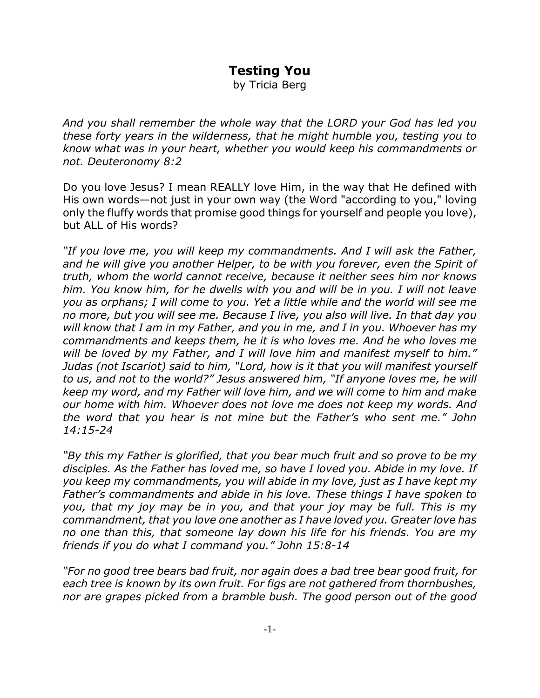## **Testing You**

by Tricia Berg

*And you shall remember the whole way that the LORD your God has led you these forty years in the wilderness, that he might humble you, testing you to know what was in your heart, whether you would keep his commandments or not. Deuteronomy 8:2*

Do you love Jesus? I mean REALLY love Him, in the way that He defined with His own words—not just in your own way (the Word "according to you," loving only the fluffy words that promise good things for yourself and people you love), but ALL of His words?

*"If you love me, you will keep my commandments. And I will ask the Father, and he will give you another Helper, to be with you forever, even the Spirit of truth, whom the world cannot receive, because it neither sees him nor knows him. You know him, for he dwells with you and will be in you. I will not leave you as orphans; I will come to you. Yet a little while and the world will see me no more, but you will see me. Because I live, you also will live. In that day you will know that I am in my Father, and you in me, and I in you. Whoever has my commandments and keeps them, he it is who loves me. And he who loves me will be loved by my Father, and I will love him and manifest myself to him." Judas (not Iscariot) said to him, "Lord, how is it that you will manifest yourself to us, and not to the world?" Jesus answered him, "If anyone loves me, he will keep my word, and my Father will love him, and we will come to him and make our home with him. Whoever does not love me does not keep my words. And the word that you hear is not mine but the Father's who sent me." John 14:15-24*

*"By this my Father is glorified, that you bear much fruit and so prove to be my disciples. As the Father has loved me, so have I loved you. Abide in my love. If you keep my commandments, you will abide in my love, just as I have kept my Father's commandments and abide in his love. These things I have spoken to you, that my joy may be in you, and that your joy may be full. This is my commandment, that you love one another as I have loved you. Greater love has no one than this, that someone lay down his life for his friends. You are my friends if you do what I command you." John 15:8-14*

*"For no good tree bears bad fruit, nor again does a bad tree bear good fruit, for each tree is known by its own fruit. For figs are not gathered from thornbushes, nor are grapes picked from a bramble bush. The good person out of the good*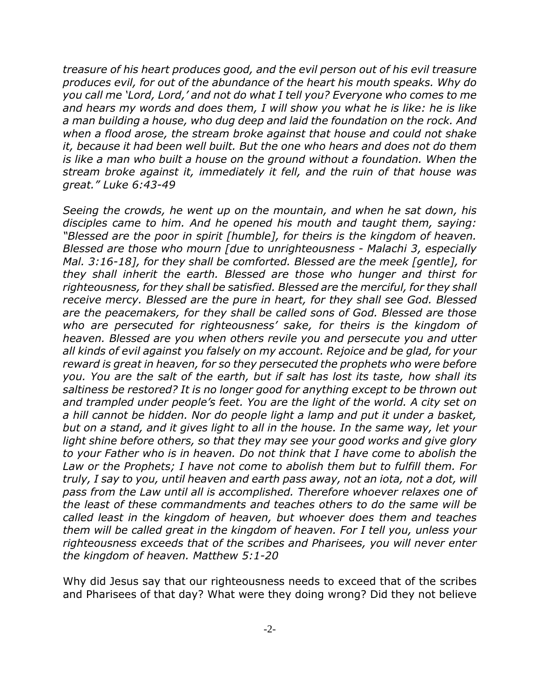*treasure of his heart produces good, and the evil person out of his evil treasure produces evil, for out of the abundance of the heart his mouth speaks. Why do you call me 'Lord, Lord,' and not do what I tell you? Everyone who comes to me and hears my words and does them, I will show you what he is like: he is like a man building a house, who dug deep and laid the foundation on the rock. And when a flood arose, the stream broke against that house and could not shake it, because it had been well built. But the one who hears and does not do them is like a man who built a house on the ground without a foundation. When the stream broke against it, immediately it fell, and the ruin of that house was great." Luke 6:43-49*

*Seeing the crowds, he went up on the mountain, and when he sat down, his disciples came to him. And he opened his mouth and taught them, saying: "Blessed are the poor in spirit [humble], for theirs is the kingdom of heaven. Blessed are those who mourn [due to unrighteousness - Malachi 3, especially Mal. 3:16-18], for they shall be comforted. Blessed are the meek [gentle], for they shall inherit the earth. Blessed are those who hunger and thirst for righteousness, for they shall be satisfied. Blessed are the merciful, for they shall receive mercy. Blessed are the pure in heart, for they shall see God. Blessed are the peacemakers, for they shall be called sons of God. Blessed are those who are persecuted for righteousness' sake, for theirs is the kingdom of heaven. Blessed are you when others revile you and persecute you and utter all kinds of evil against you falsely on my account. Rejoice and be glad, for your reward is great in heaven, for so they persecuted the prophets who were before you. You are the salt of the earth, but if salt has lost its taste, how shall its saltiness be restored? It is no longer good for anything except to be thrown out and trampled under people's feet. You are the light of the world. A city set on a hill cannot be hidden. Nor do people light a lamp and put it under a basket, but on a stand, and it gives light to all in the house. In the same way, let your light shine before others, so that they may see your good works and give glory to your Father who is in heaven. Do not think that I have come to abolish the Law or the Prophets; I have not come to abolish them but to fulfill them. For truly, I say to you, until heaven and earth pass away, not an iota, not a dot, will pass from the Law until all is accomplished. Therefore whoever relaxes one of the least of these commandments and teaches others to do the same will be called least in the kingdom of heaven, but whoever does them and teaches them will be called great in the kingdom of heaven. For I tell you, unless your righteousness exceeds that of the scribes and Pharisees, you will never enter the kingdom of heaven. Matthew 5:1-20*

Why did Jesus say that our righteousness needs to exceed that of the scribes and Pharisees of that day? What were they doing wrong? Did they not believe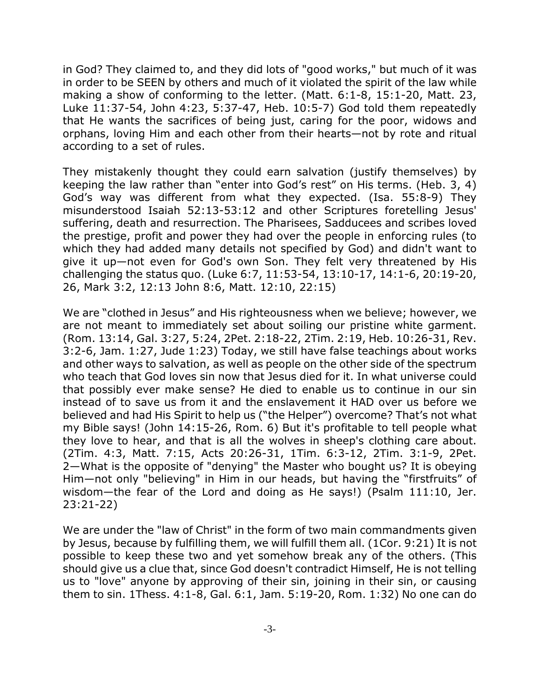in God? They claimed to, and they did lots of "good works," but much of it was in order to be SEEN by others and much of it violated the spirit of the law while making a show of conforming to the letter. (Matt. 6:1-8, 15:1-20, Matt. 23, Luke 11:37-54, John 4:23, 5:37-47, Heb. 10:5-7) God told them repeatedly that He wants the sacrifices of being just, caring for the poor, widows and orphans, loving Him and each other from their hearts—not by rote and ritual according to a set of rules.

They mistakenly thought they could earn salvation (justify themselves) by keeping the law rather than "enter into God's rest" on His terms. (Heb. 3, 4) God's way was different from what they expected. (Isa. 55:8-9) They misunderstood Isaiah 52:13-53:12 and other Scriptures foretelling Jesus' suffering, death and resurrection. The Pharisees, Sadducees and scribes loved the prestige, profit and power they had over the people in enforcing rules (to which they had added many details not specified by God) and didn't want to give it up—not even for God's own Son. They felt very threatened by His challenging the status quo. (Luke 6:7, 11:53-54, 13:10-17, 14:1-6, 20:19-20, 26, Mark 3:2, 12:13 John 8:6, Matt. 12:10, 22:15)

We are "clothed in Jesus" and His righteousness when we believe; however, we are not meant to immediately set about soiling our pristine white garment. (Rom. 13:14, Gal. 3:27, 5:24, 2Pet. 2:18-22, 2Tim. 2:19, Heb. 10:26-31, Rev. 3:2-6, Jam. 1:27, Jude 1:23) Today, we still have false teachings about works and other ways to salvation, as well as people on the other side of the spectrum who teach that God loves sin now that Jesus died for it. In what universe could that possibly ever make sense? He died to enable us to continue in our sin instead of to save us from it and the enslavement it HAD over us before we believed and had His Spirit to help us ("the Helper") overcome? That's not what my Bible says! (John 14:15-26, Rom. 6) But it's profitable to tell people what they love to hear, and that is all the wolves in sheep's clothing care about. (2Tim. 4:3, Matt. 7:15, Acts 20:26-31, 1Tim. 6:3-12, 2Tim. 3:1-9, 2Pet. 2—What is the opposite of "denying" the Master who bought us? It is obeying Him—not only "believing" in Him in our heads, but having the "firstfruits" of wisdom—the fear of the Lord and doing as He says!) (Psalm 111:10, Jer. 23:21-22)

We are under the "law of Christ" in the form of two main commandments given by Jesus, because by fulfilling them, we will fulfill them all. (1Cor. 9:21) It is not possible to keep these two and yet somehow break any of the others. (This should give us a clue that, since God doesn't contradict Himself, He is not telling us to "love" anyone by approving of their sin, joining in their sin, or causing them to sin. 1Thess. 4:1-8, Gal. 6:1, Jam. 5:19-20, Rom. 1:32) No one can do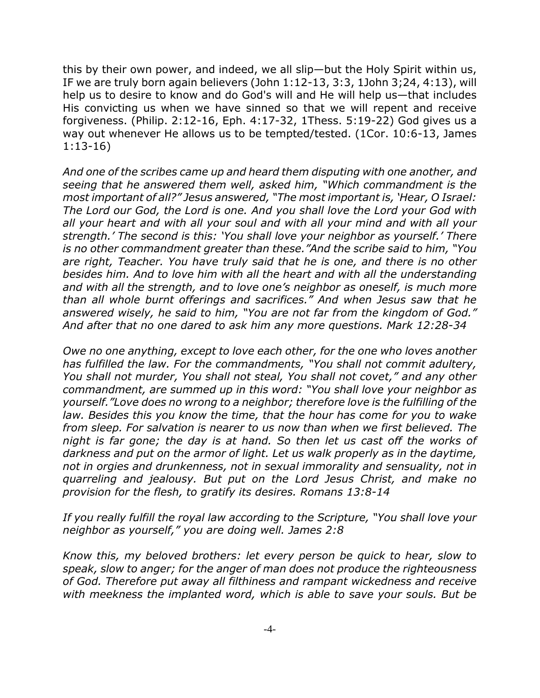this by their own power, and indeed, we all slip—but the Holy Spirit within us, IF we are truly born again believers (John 1:12-13, 3:3, 1John 3;24, 4:13), will help us to desire to know and do God's will and He will help us—that includes His convicting us when we have sinned so that we will repent and receive forgiveness. (Philip. 2:12-16, Eph. 4:17-32, 1Thess. 5:19-22) God gives us a way out whenever He allows us to be tempted/tested. (1Cor. 10:6-13, James 1:13-16)

*And one of the scribes came up and heard them disputing with one another, and seeing that he answered them well, asked him, "Which commandment is the most important of all?" Jesus answered, "The most important is, 'Hear, O Israel: The Lord our God, the Lord is one. And you shall love the Lord your God with all your heart and with all your soul and with all your mind and with all your strength.' The second is this: 'You shall love your neighbor as yourself.' There is no other commandment greater than these."And the scribe said to him, "You are right, Teacher. You have truly said that he is one, and there is no other besides him. And to love him with all the heart and with all the understanding and with all the strength, and to love one's neighbor as oneself, is much more than all whole burnt offerings and sacrifices." And when Jesus saw that he answered wisely, he said to him, "You are not far from the kingdom of God." And after that no one dared to ask him any more questions. Mark 12:28-34*

*Owe no one anything, except to love each other, for the one who loves another has fulfilled the law. For the commandments, "You shall not commit adultery, You shall not murder, You shall not steal, You shall not covet," and any other commandment, are summed up in this word: "You shall love your neighbor as yourself."Love does no wrong to a neighbor; therefore love is the fulfilling of the law. Besides this you know the time, that the hour has come for you to wake from sleep. For salvation is nearer to us now than when we first believed. The night is far gone; the day is at hand. So then let us cast off the works of darkness and put on the armor of light. Let us walk properly as in the daytime, not in orgies and drunkenness, not in sexual immorality and sensuality, not in quarreling and jealousy. But put on the Lord Jesus Christ, and make no provision for the flesh, to gratify its desires. Romans 13:8-14*

*If you really fulfill the royal law according to the Scripture, "You shall love your neighbor as yourself," you are doing well. James 2:8*

*Know this, my beloved brothers: let every person be quick to hear, slow to speak, slow to anger; for the anger of man does not produce the righteousness of God. Therefore put away all filthiness and rampant wickedness and receive with meekness the implanted word, which is able to save your souls. But be*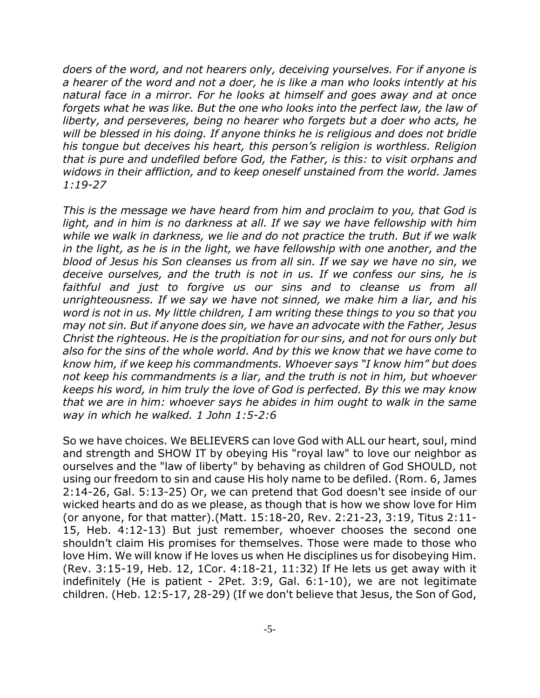*doers of the word, and not hearers only, deceiving yourselves. For if anyone is a hearer of the word and not a doer, he is like a man who looks intently at his natural face in a mirror. For he looks at himself and goes away and at once forgets what he was like. But the one who looks into the perfect law, the law of liberty, and perseveres, being no hearer who forgets but a doer who acts, he will be blessed in his doing. If anyone thinks he is religious and does not bridle his tongue but deceives his heart, this person's religion is worthless. Religion that is pure and undefiled before God, the Father, is this: to visit orphans and widows in their affliction, and to keep oneself unstained from the world. James 1:19-27*

*This is the message we have heard from him and proclaim to you, that God is light, and in him is no darkness at all. If we say we have fellowship with him while we walk in darkness, we lie and do not practice the truth. But if we walk in the light, as he is in the light, we have fellowship with one another, and the blood of Jesus his Son cleanses us from all sin. If we say we have no sin, we deceive ourselves, and the truth is not in us. If we confess our sins, he is faithful and just to forgive us our sins and to cleanse us from all unrighteousness. If we say we have not sinned, we make him a liar, and his word is not in us. My little children, I am writing these things to you so that you may not sin. But if anyone does sin, we have an advocate with the Father, Jesus Christ the righteous. He is the propitiation for our sins, and not for ours only but also for the sins of the whole world. And by this we know that we have come to know him, if we keep his commandments. Whoever says "I know him" but does not keep his commandments is a liar, and the truth is not in him, but whoever keeps his word, in him truly the love of God is perfected. By this we may know that we are in him: whoever says he abides in him ought to walk in the same way in which he walked. 1 John 1:5-2:6*

So we have choices. We BELIEVERS can love God with ALL our heart, soul, mind and strength and SHOW IT by obeying His "royal law" to love our neighbor as ourselves and the "law of liberty" by behaving as children of God SHOULD, not using our freedom to sin and cause His holy name to be defiled. (Rom. 6, James 2:14-26, Gal. 5:13-25) Or, we can pretend that God doesn't see inside of our wicked hearts and do as we please, as though that is how we show love for Him (or anyone, for that matter).(Matt. 15:18-20, Rev. 2:21-23, 3:19, Titus 2:11- 15, Heb. 4:12-13) But just remember, whoever chooses the second one shouldn't claim His promises for themselves. Those were made to those who love Him. We will know if He loves us when He disciplines us for disobeying Him. (Rev. 3:15-19, Heb. 12, 1Cor. 4:18-21, 11:32) If He lets us get away with it indefinitely (He is patient - 2Pet. 3:9, Gal. 6:1-10), we are not legitimate children. (Heb. 12:5-17, 28-29) (If we don't believe that Jesus, the Son of God,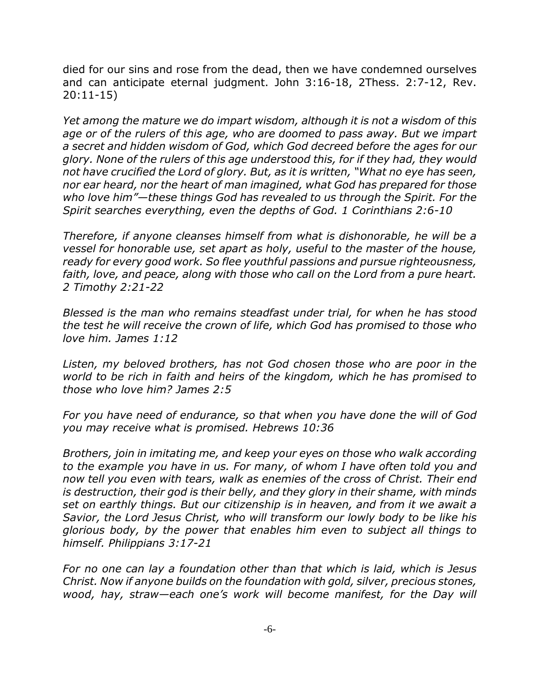died for our sins and rose from the dead, then we have condemned ourselves and can anticipate eternal judgment. John 3:16-18, 2Thess. 2:7-12, Rev. 20:11-15)

*Yet among the mature we do impart wisdom, although it is not a wisdom of this age or of the rulers of this age, who are doomed to pass away. But we impart a secret and hidden wisdom of God, which God decreed before the ages for our glory. None of the rulers of this age understood this, for if they had, they would not have crucified the Lord of glory. But, as it is written, "What no eye has seen, nor ear heard, nor the heart of man imagined, what God has prepared for those who love him"—these things God has revealed to us through the Spirit. For the Spirit searches everything, even the depths of God. 1 Corinthians 2:6-10*

*Therefore, if anyone cleanses himself from what is dishonorable, he will be a vessel for honorable use, set apart as holy, useful to the master of the house, ready for every good work. So flee youthful passions and pursue righteousness, faith, love, and peace, along with those who call on the Lord from a pure heart. 2 Timothy 2:21-22*

*Blessed is the man who remains steadfast under trial, for when he has stood the test he will receive the crown of life, which God has promised to those who love him. James 1:12*

*Listen, my beloved brothers, has not God chosen those who are poor in the world to be rich in faith and heirs of the kingdom, which he has promised to those who love him? James 2:5*

*For you have need of endurance, so that when you have done the will of God you may receive what is promised. Hebrews 10:36*

*Brothers, join in imitating me, and keep your eyes on those who walk according to the example you have in us. For many, of whom I have often told you and now tell you even with tears, walk as enemies of the cross of Christ. Their end is destruction, their god is their belly, and they glory in their shame, with minds set on earthly things. But our citizenship is in heaven, and from it we await a Savior, the Lord Jesus Christ, who will transform our lowly body to be like his glorious body, by the power that enables him even to subject all things to himself. Philippians 3:17-21*

*For no one can lay a foundation other than that which is laid, which is Jesus Christ. Now if anyone builds on the foundation with gold, silver, precious stones, wood, hay, straw—each one's work will become manifest, for the Day will*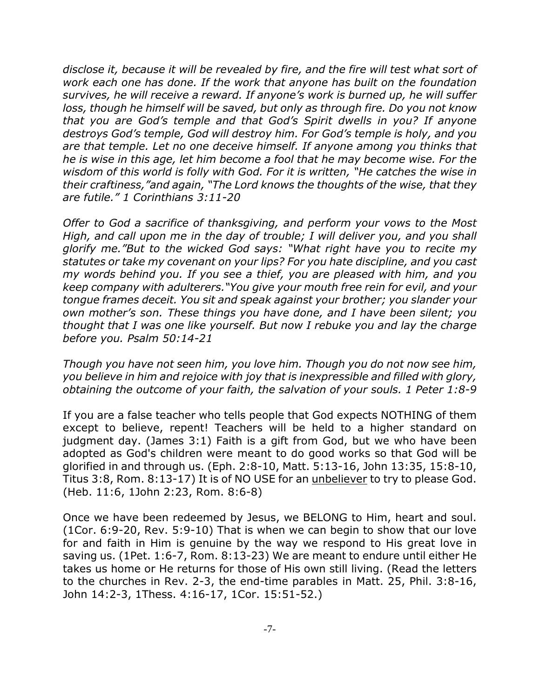*disclose it, because it will be revealed by fire, and the fire will test what sort of work each one has done. If the work that anyone has built on the foundation survives, he will receive a reward. If anyone's work is burned up, he will suffer loss, though he himself will be saved, but only as through fire. Do you not know that you are God's temple and that God's Spirit dwells in you? If anyone destroys God's temple, God will destroy him. For God's temple is holy, and you are that temple. Let no one deceive himself. If anyone among you thinks that he is wise in this age, let him become a fool that he may become wise. For the wisdom of this world is folly with God. For it is written, "He catches the wise in their craftiness,"and again, "The Lord knows the thoughts of the wise, that they are futile." 1 Corinthians 3:11-20*

*Offer to God a sacrifice of thanksgiving, and perform your vows to the Most High, and call upon me in the day of trouble; I will deliver you, and you shall glorify me."But to the wicked God says: "What right have you to recite my statutes or take my covenant on your lips? For you hate discipline, and you cast my words behind you. If you see a thief, you are pleased with him, and you keep company with adulterers."You give your mouth free rein for evil, and your tongue frames deceit. You sit and speak against your brother; you slander your own mother's son. These things you have done, and I have been silent; you thought that I was one like yourself. But now I rebuke you and lay the charge before you. Psalm 50:14-21*

*Though you have not seen him, you love him. Though you do not now see him, you believe in him and rejoice with joy that is inexpressible and filled with glory, obtaining the outcome of your faith, the salvation of your souls. 1 Peter 1:8-9*

If you are a false teacher who tells people that God expects NOTHING of them except to believe, repent! Teachers will be held to a higher standard on judgment day. (James 3:1) Faith is a gift from God, but we who have been adopted as God's children were meant to do good works so that God will be glorified in and through us. (Eph. 2:8-10, Matt. 5:13-16, John 13:35, 15:8-10, Titus 3:8, Rom. 8:13-17) It is of NO USE for an unbeliever to try to please God. (Heb. 11:6, 1John 2:23, Rom. 8:6-8)

Once we have been redeemed by Jesus, we BELONG to Him, heart and soul. (1Cor. 6:9-20, Rev. 5:9-10) That is when we can begin to show that our love for and faith in Him is genuine by the way we respond to His great love in saving us. (1Pet. 1:6-7, Rom. 8:13-23) We are meant to endure until either He takes us home or He returns for those of His own still living. (Read the letters to the churches in Rev. 2-3, the end-time parables in Matt. 25, Phil. 3:8-16, John 14:2-3, 1Thess. 4:16-17, 1Cor. 15:51-52.)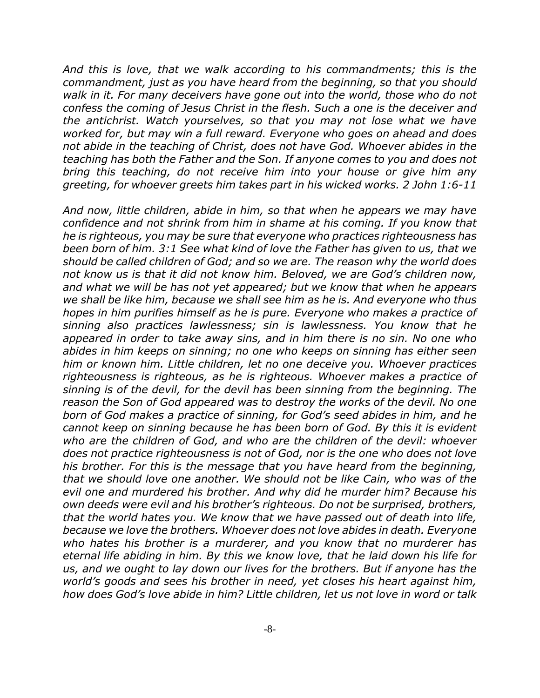*And this is love, that we walk according to his commandments; this is the commandment, just as you have heard from the beginning, so that you should walk in it. For many deceivers have gone out into the world, those who do not confess the coming of Jesus Christ in the flesh. Such a one is the deceiver and the antichrist. Watch yourselves, so that you may not lose what we have worked for, but may win a full reward. Everyone who goes on ahead and does not abide in the teaching of Christ, does not have God. Whoever abides in the teaching has both the Father and the Son. If anyone comes to you and does not bring this teaching, do not receive him into your house or give him any greeting, for whoever greets him takes part in his wicked works. 2 John 1:6-11*

*And now, little children, abide in him, so that when he appears we may have confidence and not shrink from him in shame at his coming. If you know that he is righteous, you may be sure that everyone who practices righteousness has been born of him. 3:1 See what kind of love the Father has given to us, that we should be called children of God; and so we are. The reason why the world does not know us is that it did not know him. Beloved, we are God's children now, and what we will be has not yet appeared; but we know that when he appears we shall be like him, because we shall see him as he is. And everyone who thus hopes in him purifies himself as he is pure. Everyone who makes a practice of sinning also practices lawlessness; sin is lawlessness. You know that he appeared in order to take away sins, and in him there is no sin. No one who abides in him keeps on sinning; no one who keeps on sinning has either seen him or known him. Little children, let no one deceive you. Whoever practices righteousness is righteous, as he is righteous. Whoever makes a practice of sinning is of the devil, for the devil has been sinning from the beginning. The reason the Son of God appeared was to destroy the works of the devil. No one born of God makes a practice of sinning, for God's seed abides in him, and he cannot keep on sinning because he has been born of God. By this it is evident who are the children of God, and who are the children of the devil: whoever does not practice righteousness is not of God, nor is the one who does not love his brother. For this is the message that you have heard from the beginning, that we should love one another. We should not be like Cain, who was of the evil one and murdered his brother. And why did he murder him? Because his own deeds were evil and his brother's righteous. Do not be surprised, brothers, that the world hates you. We know that we have passed out of death into life, because we love the brothers. Whoever does not love abides in death. Everyone who hates his brother is a murderer, and you know that no murderer has eternal life abiding in him. By this we know love, that he laid down his life for us, and we ought to lay down our lives for the brothers. But if anyone has the world's goods and sees his brother in need, yet closes his heart against him, how does God's love abide in him? Little children, let us not love in word or talk*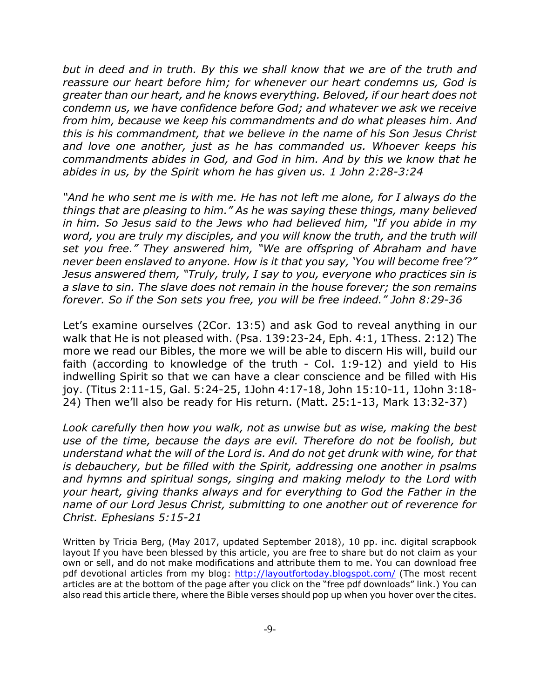*but in deed and in truth. By this we shall know that we are of the truth and reassure our heart before him; for whenever our heart condemns us, God is greater than our heart, and he knows everything. Beloved, if our heart does not condemn us, we have confidence before God; and whatever we ask we receive from him, because we keep his commandments and do what pleases him. And this is his commandment, that we believe in the name of his Son Jesus Christ and love one another, just as he has commanded us. Whoever keeps his commandments abides in God, and God in him. And by this we know that he abides in us, by the Spirit whom he has given us. 1 John 2:28-3:24*

*"And he who sent me is with me. He has not left me alone, for I always do the things that are pleasing to him." As he was saying these things, many believed in him. So Jesus said to the Jews who had believed him, "If you abide in my word, you are truly my disciples, and you will know the truth, and the truth will set you free." They answered him, "We are offspring of Abraham and have never been enslaved to anyone. How is it that you say, 'You will become free'?" Jesus answered them, "Truly, truly, I say to you, everyone who practices sin is a slave to sin. The slave does not remain in the house forever; the son remains forever. So if the Son sets you free, you will be free indeed." John 8:29-36*

Let's examine ourselves (2Cor. 13:5) and ask God to reveal anything in our walk that He is not pleased with. (Psa. 139:23-24, Eph. 4:1, 1Thess. 2:12) The more we read our Bibles, the more we will be able to discern His will, build our faith (according to knowledge of the truth - Col. 1:9-12) and yield to His indwelling Spirit so that we can have a clear conscience and be filled with His joy. (Titus 2:11-15, Gal. 5:24-25, 1John 4:17-18, John 15:10-11, 1John 3:18- 24) Then we'll also be ready for His return. (Matt. 25:1-13, Mark 13:32-37)

*Look carefully then how you walk, not as unwise but as wise, making the best use of the time, because the days are evil. Therefore do not be foolish, but understand what the will of the Lord is. And do not get drunk with wine, for that is debauchery, but be filled with the Spirit, addressing one another in psalms and hymns and spiritual songs, singing and making melody to the Lord with your heart, giving thanks always and for everything to God the Father in the name of our Lord Jesus Christ, submitting to one another out of reverence for Christ. Ephesians 5:15-21*

Written by Tricia Berg, (May 2017, updated September 2018), 10 pp. inc. digital scrapbook layout If you have been blessed by this article, you are free to share but do not claim as your own or sell, and do not make modifications and attribute them to me. You can download free pdf devotional articles from my blog: http://layoutfortoday.blogspot.com/ (The most recent articles are at the bottom of the page after you click on the "free pdf downloads" link.) You can also read this article there, where the Bible verses should pop up when you hover over the cites.